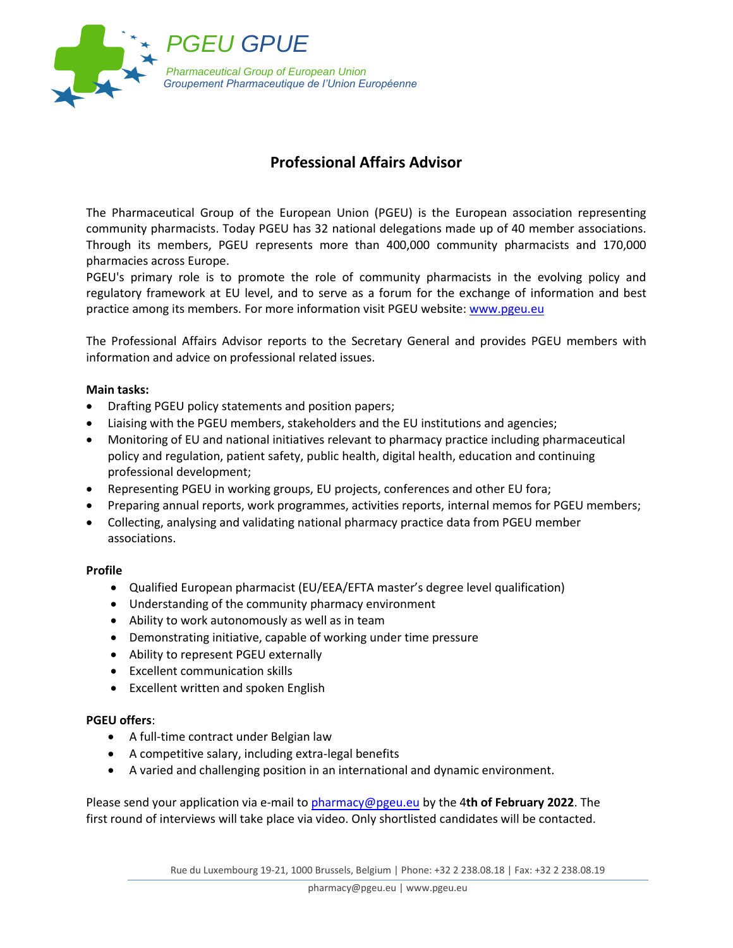

## **Professional Affairs Advisor**

The Pharmaceutical Group of the European Union (PGEU) is the European association representing community pharmacists. Today PGEU has 32 national delegations made up of 40 member associations. Through its members, PGEU represents more than 400,000 community pharmacists and 170,000 pharmacies across Europe.

PGEU's primary role is to promote the role of community pharmacists in the evolving policy and regulatory framework at EU level, and to serve as a forum for the exchange of information and best practice among its members. For more information visit PGEU website: [www.pgeu.eu](http://www.pgeu.eu/)

The Professional Affairs Advisor reports to the Secretary General and provides PGEU members with information and advice on professional related issues.

## **Main tasks:**

- Drafting PGEU policy statements and position papers;
- Liaising with the PGEU members, stakeholders and the EU institutions and agencies;
- Monitoring of EU and national initiatives relevant to pharmacy practice including pharmaceutical policy and regulation, patient safety, public health, digital health, education and continuing professional development;
- Representing PGEU in working groups, EU projects, conferences and other EU fora;
- Preparing annual reports, work programmes, activities reports, internal memos for PGEU members;
- Collecting, analysing and validating national pharmacy practice data from PGEU member associations.

## **Profile**

- Qualified European pharmacist (EU/EEA/EFTA master's degree level qualification)
- Understanding of the community pharmacy environment
- Ability to work autonomously as well as in team
- Demonstrating initiative, capable of working under time pressure
- Ability to represent PGEU externally
- Excellent communication skills
- Excellent written and spoken English

## **PGEU offers**:

- A full-time contract under Belgian law
- A competitive salary, including extra-legal benefits
- A varied and challenging position in an international and dynamic environment.

Please send your application via e-mail to [pharmacy@pgeu.eu](mailto:pharmacy@pgeu.eu) by the 4**th of February 2022**. The first round of interviews will take place via video. Only shortlisted candidates will be contacted.